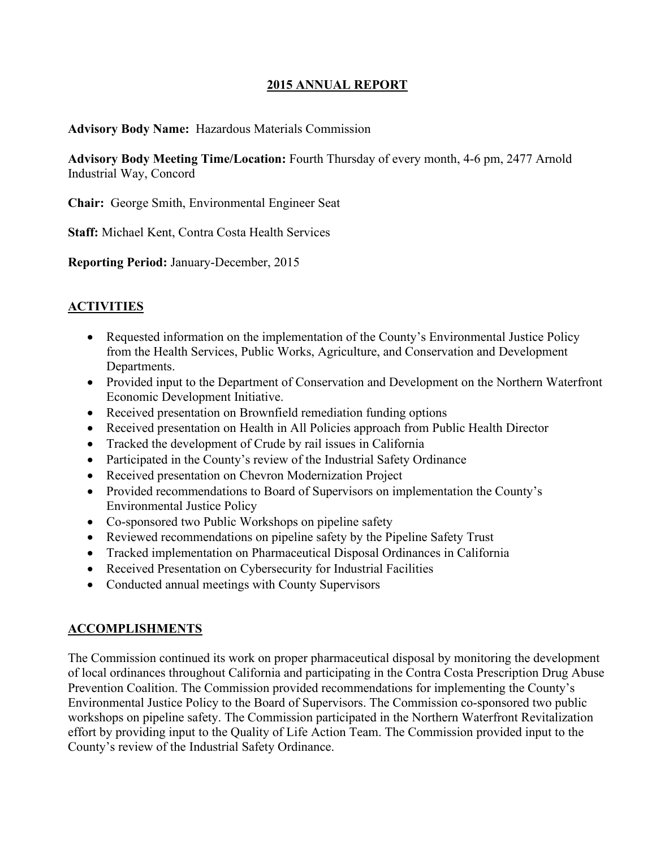### **2015 ANNUAL REPORT**

#### **Advisory Body Name:** Hazardous Materials Commission

**Advisory Body Meeting Time/Location:** Fourth Thursday of every month, 4-6 pm, 2477 Arnold Industrial Way, Concord

**Chair:** George Smith, Environmental Engineer Seat

**Staff:** Michael Kent, Contra Costa Health Services

**Reporting Period:** January-December, 2015

#### **ACTIVITIES**

- Requested information on the implementation of the County's Environmental Justice Policy from the Health Services, Public Works, Agriculture, and Conservation and Development Departments.
- Provided input to the Department of Conservation and Development on the Northern Waterfront Economic Development Initiative.
- Received presentation on Brownfield remediation funding options
- Received presentation on Health in All Policies approach from Public Health Director
- Tracked the development of Crude by rail issues in California
- Participated in the County's review of the Industrial Safety Ordinance
- Received presentation on Chevron Modernization Project
- Provided recommendations to Board of Supervisors on implementation the County's Environmental Justice Policy
- Co-sponsored two Public Workshops on pipeline safety
- Reviewed recommendations on pipeline safety by the Pipeline Safety Trust
- Tracked implementation on Pharmaceutical Disposal Ordinances in California
- Received Presentation on Cybersecurity for Industrial Facilities
- Conducted annual meetings with County Supervisors

#### **ACCOMPLISHMENTS**

The Commission continued its work on proper pharmaceutical disposal by monitoring the development of local ordinances throughout California and participating in the Contra Costa Prescription Drug Abuse Prevention Coalition. The Commission provided recommendations for implementing the County's Environmental Justice Policy to the Board of Supervisors. The Commission co-sponsored two public workshops on pipeline safety. The Commission participated in the Northern Waterfront Revitalization effort by providing input to the Quality of Life Action Team. The Commission provided input to the County's review of the Industrial Safety Ordinance.